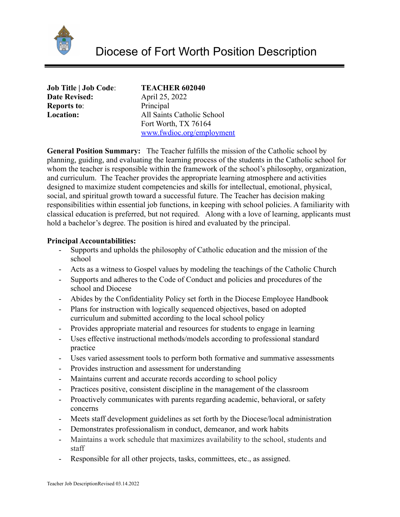

| <b>Job Title   Job Code:</b> | <b>TEACHER 602040</b>      |
|------------------------------|----------------------------|
| <b>Date Revised:</b>         | April 25, 2022             |
| <b>Reports to:</b>           | Principal                  |
| <b>Location:</b>             | All Saints Catholic School |
|                              | Fort Worth, TX 76164       |
|                              | www.fwdioc.org/employment  |

**General Position Summary:** The Teacher fulfills the mission of the Catholic school by planning, guiding, and evaluating the learning process of the students in the Catholic school for whom the teacher is responsible within the framework of the school's philosophy, organization, and curriculum. The Teacher provides the appropriate learning atmosphere and activities designed to maximize student competencies and skills for intellectual, emotional, physical, social, and spiritual growth toward a successful future. The Teacher has decision making responsibilities within essential job functions, in keeping with school policies. A familiarity with classical education is preferred, but not required. Along with a love of learning, applicants must hold a bachelor's degree. The position is hired and evaluated by the principal.

#### **Principal Accountabilities:**

- Supports and upholds the philosophy of Catholic education and the mission of the school
- Acts as a witness to Gospel values by modeling the teachings of the Catholic Church
- Supports and adheres to the Code of Conduct and policies and procedures of the school and Diocese
- Abides by the Confidentiality Policy set forth in the Diocese Employee Handbook
- Plans for instruction with logically sequenced objectives, based on adopted curriculum and submitted according to the local school policy
- Provides appropriate material and resources for students to engage in learning
- Uses effective instructional methods/models according to professional standard practice
- Uses varied assessment tools to perform both formative and summative assessments
- Provides instruction and assessment for understanding
- Maintains current and accurate records according to school policy
- Practices positive, consistent discipline in the management of the classroom
- Proactively communicates with parents regarding academic, behavioral, or safety concerns
- Meets staff development guidelines as set forth by the Diocese/local administration
- Demonstrates professionalism in conduct, demeanor, and work habits
- Maintains a work schedule that maximizes availability to the school, students and staff
- Responsible for all other projects, tasks, committees, etc., as assigned.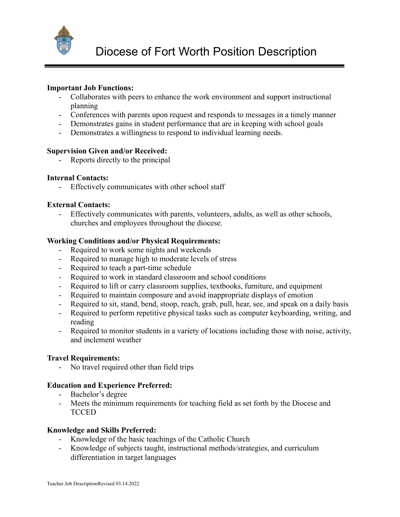

## **Important Job Functions:**

- Collaborates with peers to enhance the work environment and support instructional planning
- Conferences with parents upon request and responds to messages in a timely manner
- Demonstrates gains in student performance that are in keeping with school goals
- Demonstrates a willingness to respond to individual learning needs.

### **Supervision Given and/or Received:**

- Reports directly to the principal

### **Internal Contacts:**

- Effectively communicates with other school staff

#### **External Contacts:**

Effectively communicates with parents, volunteers, adults, as well as other schools, churches and employees throughout the diocese.

### **Working Conditions and/or Physical Requirements:**

- Required to work some nights and weekends
- Required to manage high to moderate levels of stress
- Required to teach a part-time schedule
- Required to work in standard classroom and school conditions
- Required to lift or carry classroom supplies, textbooks, furniture, and equipment
- Required to maintain composure and avoid inappropriate displays of emotion
- Required to sit, stand, bend, stoop, reach, grab, pull, hear, see, and speak on a daily basis
- Required to perform repetitive physical tasks such as computer keyboarding, writing, and reading
- Required to monitor students in a variety of locations including those with noise, activity, and inclement weather

### **Travel Requirements:**

- No travel required other than field trips

### **Education and Experience Preferred:**

- Bachelor's degree
- Meets the minimum requirements for teaching field as set forth by the Diocese and TCCED

### **Knowledge and Skills Preferred:**

- Knowledge of the basic teachings of the Catholic Church
- Knowledge of subjects taught, instructional methods/strategies, and curriculum differentiation in target languages